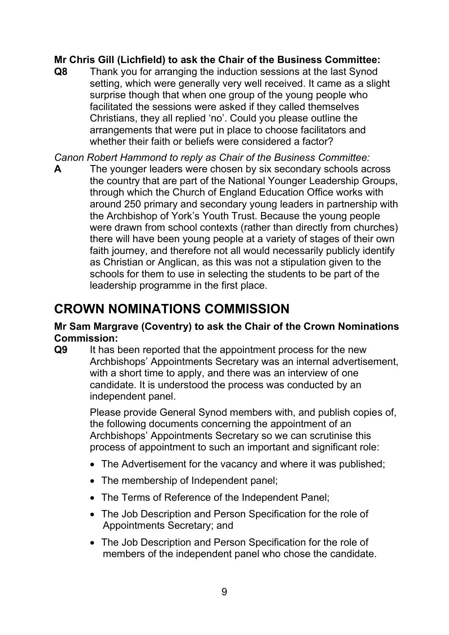## **Mr Chris Gill (Lichfield) to ask the Chair of the Business Committee:**

**Q8** Thank you for arranging the induction sessions at the last Synod setting, which were generally very well received. It came as a slight surprise though that when one group of the young people who facilitated the sessions were asked if they called themselves Christians, they all replied 'no'. Could you please outline the arrangements that were put in place to choose facilitators and whether their faith or beliefs were considered a factor?

*Canon Robert Hammond to reply as Chair of the Business Committee:*

**A** The younger leaders were chosen by six secondary schools across the country that are part of the National Younger Leadership Groups, through which the Church of England Education Office works with around 250 primary and secondary young leaders in partnership with the Archbishop of York's Youth Trust. Because the young people were drawn from school contexts (rather than directly from churches) there will have been young people at a variety of stages of their own faith journey, and therefore not all would necessarily publicly identify as Christian or Anglican, as this was not a stipulation given to the schools for them to use in selecting the students to be part of the leadership programme in the first place.

# **CROWN NOMINATIONS COMMISSION**

### **Mr Sam Margrave (Coventry) to ask the Chair of the Crown Nominations Commission:**

**Q9** It has been reported that the appointment process for the new Archbishops' Appointments Secretary was an internal advertisement, with a short time to apply, and there was an interview of one candidate. It is understood the process was conducted by an independent panel.

> Please provide General Synod members with, and publish copies of, the following documents concerning the appointment of an Archbishops' Appointments Secretary so we can scrutinise this process of appointment to such an important and significant role:

- The Advertisement for the vacancy and where it was published;
- The membership of Independent panel;
- The Terms of Reference of the Independent Panel;
- The Job Description and Person Specification for the role of Appointments Secretary; and
- The Job Description and Person Specification for the role of members of the independent panel who chose the candidate.